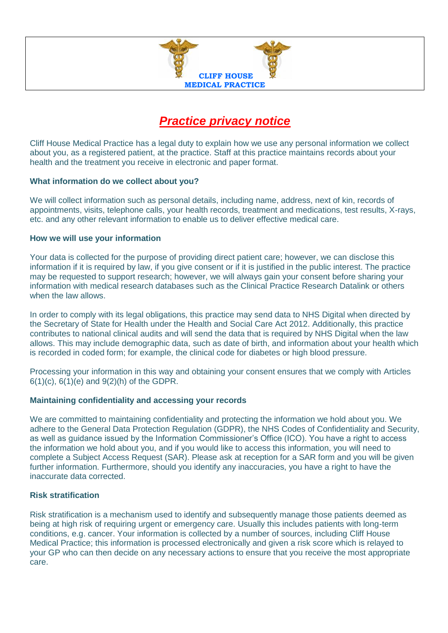

# *Practice privacy notice*

Cliff House Medical Practice has a legal duty to explain how we use any personal information we collect about you, as a registered patient, at the practice. Staff at this practice maintains records about your health and the treatment you receive in electronic and paper format.

#### **What information do we collect about you?**

We will collect information such as personal details, including name, address, next of kin, records of appointments, visits, telephone calls, your health records, treatment and medications, test results, X-rays, etc. and any other relevant information to enable us to deliver effective medical care.

#### **How we will use your information**

Your data is collected for the purpose of providing direct patient care; however, we can disclose this information if it is required by law, if you give consent or if it is justified in the public interest. The practice may be requested to support research; however, we will always gain your consent before sharing your information with medical research databases such as the Clinical Practice Research Datalink or others when the law allows.

In order to comply with its legal obligations, this practice may send data to NHS Digital when directed by the Secretary of State for Health under the Health and Social Care Act 2012. Additionally, this practice contributes to national clinical audits and will send the data that is required by NHS Digital when the law allows. This may include demographic data, such as date of birth, and information about your health which is recorded in coded form; for example, the clinical code for diabetes or high blood pressure.

Processing your information in this way and obtaining your consent ensures that we comply with Articles  $6(1)(c)$ ,  $6(1)(e)$  and  $9(2)(h)$  of the GDPR.

# **Maintaining confidentiality and accessing your records**

We are committed to maintaining confidentiality and protecting the information we hold about you. We adhere to the General Data Protection Regulation (GDPR), the NHS Codes of Confidentiality and Security, as well as guidance issued by the Information Commissioner's Office (ICO). You have a right to access the information we hold about you, and if you would like to access this information, you will need to complete a Subject Access Request (SAR). Please ask at reception for a SAR form and you will be given further information. Furthermore, should you identify any inaccuracies, you have a right to have the inaccurate data corrected.

# **Risk stratification**

Risk stratification is a mechanism used to identify and subsequently manage those patients deemed as being at high risk of requiring urgent or emergency care. Usually this includes patients with long-term conditions, e.g. cancer. Your information is collected by a number of sources, including Cliff House Medical Practice; this information is processed electronically and given a risk score which is relayed to your GP who can then decide on any necessary actions to ensure that you receive the most appropriate care.